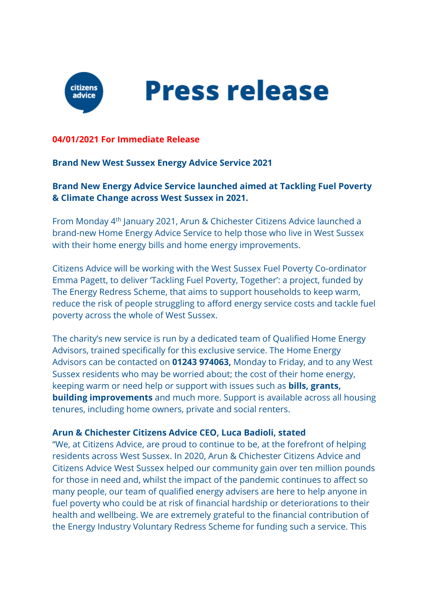

**Press release** 

#### **04/01/2021 For Immediate Release**

#### **Brand New West Sussex Energy Advice Service 2021**

**Brand New Energy Advice Service launched aimed at Tackling Fuel Poverty & Climate Change across West Sussex in 2021.** 

From Monday 4th January 2021, Arun & Chichester Citizens Advice launched a brand-new Home Energy Advice Service to help those who live in West Sussex with their home energy bills and home energy improvements.

Citizens Advice will be working with the West Sussex Fuel Poverty Co-ordinator Emma Pagett, to deliver 'Tackling Fuel Poverty, Together': a project, funded by The Energy Redress Scheme, that aims to support households to keep warm, reduce the risk of people struggling to afford energy service costs and tackle fuel poverty across the whole of West Sussex.

The charity's new service is run by a dedicated team of Qualified Home Energy Advisors, trained specifically for this exclusive service. The Home Energy Advisors can be contacted on **01243 974063,** Monday to Friday, and to any West Sussex residents who may be worried about; the cost of their home energy, keeping warm or need help or support with issues such as **bills, grants, building improvements** and much more. Support is available across all housing tenures, including home owners, private and social renters.

#### **Arun & Chichester Citizens Advice CEO, Luca Badioli, stated**

"We, at Citizens Advice, are proud to continue to be, at the forefront of helping residents across West Sussex. In 2020, Arun & Chichester Citizens Advice and Citizens Advice West Sussex helped our community gain over ten million pounds for those in need and, whilst the impact of the pandemic continues to affect so many people, our team of qualified energy advisers are here to help anyone in fuel poverty who could be at risk of financial hardship or deteriorations to their health and wellbeing. We are extremely grateful to the financial contribution of the Energy Industry Voluntary Redress Scheme for funding such a service. This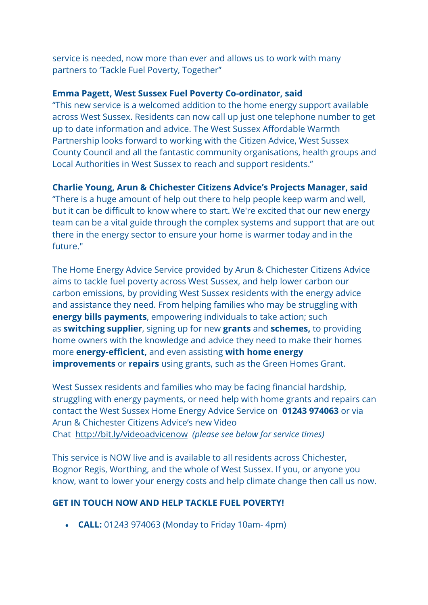service is needed, now more than ever and allows us to work with many partners to 'Tackle Fuel Poverty, Together"

## **Emma Pagett, West Sussex Fuel Poverty Co-ordinator, said**

"This new service is a welcomed addition to the home energy support available across West Sussex. Residents can now call up just one telephone number to get up to date information and advice. The West Sussex Affordable Warmth Partnership looks forward to working with the Citizen Advice, West Sussex County Council and all the fantastic community organisations, health groups and Local Authorities in West Sussex to reach and support residents."

# **Charlie Young, Arun & Chichester Citizens Advice's Projects Manager, said**

"There is a huge amount of help out there to help people keep warm and well, but it can be difficult to know where to start. We're excited that our new energy team can be a vital guide through the complex systems and support that are out there in the energy sector to ensure your home is warmer today and in the future."

The Home Energy Advice Service provided by Arun & Chichester Citizens Advice aims to tackle fuel poverty across West Sussex, and help lower carbon our carbon emissions, by providing West Sussex residents with the energy advice and assistance they need. From helping families who may be struggling with **energy bills payments**, empowering individuals to take action; such as **switching supplier**, signing up for new **grants** and **schemes,** to providing home owners with the knowledge and advice they need to make their homes more **energy-efficient,** and even assisting **with home energy improvements** or **repairs** using grants, such as the Green Homes Grant.

West Sussex residents and families who may be facing financial hardship, struggling with energy payments, or need help with home grants and repairs can contact the West Sussex Home Energy Advice Service on **01243 974063** or via Arun & Chichester Citizens Advice's new Video Chat http://bit.ly/videoadvicenow *(please see below for service times)*

This service is NOW live and is available to all residents across Chichester, Bognor Regis, Worthing, and the whole of West Sussex. If you, or anyone you know, want to lower your energy costs and help climate change then call us now.

# **GET IN TOUCH NOW AND HELP TACKLE FUEL POVERTY!**

• **CALL:** 01243 974063 (Monday to Friday 10am- 4pm)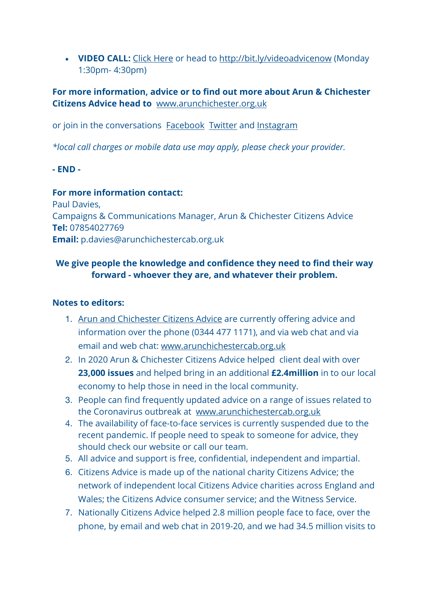• **VIDEO CALL:** Click Here or head to http://bit.ly/videoadvicenow (Monday 1:30pm- 4:30pm)

## **For more information, advice or to find out more about Arun & Chichester Citizens Advice head to** www.arunchichester.org.uk

or join in the conversations Facebook Twitter and Instagram

*\*local call charges or mobile data use may apply, please check your provider.*

## **- END -**

**For more information contact:**  Paul Davies, Campaigns & Communications Manager, Arun & Chichester Citizens Advice **Tel:** 07854027769 **Email:** p.davies@arunchichestercab.org.uk

# **We give people the knowledge and confidence they need to find their way forward - whoever they are, and whatever their problem.**

## **Notes to editors:**

- 1. Arun and Chichester Citizens Advice are currently offering advice and information over the phone (0344 477 1171), and via web chat and via email and web chat: www.arunchichestercab.org.uk
- 2. In 2020 Arun & Chichester Citizens Advice helped client deal with over **23,000 issues** and helped bring in an additional **£2.4million** in to our local economy to help those in need in the local community.
- 3. People can find frequently updated advice on a range of issues related to the Coronavirus outbreak at www.arunchichestercab.org.uk
- 4. The availability of face-to-face services is currently suspended due to the recent pandemic. If people need to speak to someone for advice, they should check our website or call our team.
- 5. All advice and support is free, confidential, independent and impartial.
- 6. Citizens Advice is made up of the national charity Citizens Advice; the network of independent local Citizens Advice charities across England and Wales; the Citizens Advice consumer service; and the Witness Service.
- 7. Nationally Citizens Advice helped 2.8 million people face to face, over the phone, by email and web chat in 2019-20, and we had 34.5 million visits to